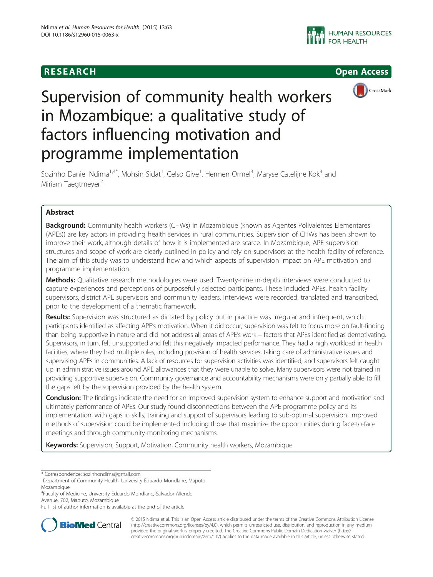



# Supervision of community health workers in Mozambique: a qualitative study of factors influencing motivation and programme implementation

Sozinho Daniel Ndima<sup>1,4\*</sup>, Mohsin Sidat<sup>1</sup>, Celso Give<sup>1</sup>, Hermen Ormel<sup>3</sup>, Maryse Catelijne Kok<sup>3</sup> and Miriam Taegtmeyer<sup>2</sup>

# Abstract

Background: Community health workers (CHWs) in Mozambique (known as Agentes Polivalentes Elementares (APEs)) are key actors in providing health services in rural communities. Supervision of CHWs has been shown to improve their work, although details of how it is implemented are scarce. In Mozambique, APE supervision structures and scope of work are clearly outlined in policy and rely on supervisors at the health facility of reference. The aim of this study was to understand how and which aspects of supervision impact on APE motivation and programme implementation.

Methods: Qualitative research methodologies were used. Twenty-nine in-depth interviews were conducted to capture experiences and perceptions of purposefully selected participants. These included APEs, health facility supervisors, district APE supervisors and community leaders. Interviews were recorded, translated and transcribed, prior to the development of a thematic framework.

Results: Supervision was structured as dictated by policy but in practice was irregular and infrequent, which participants identified as affecting APE's motivation. When it did occur, supervision was felt to focus more on fault-finding than being supportive in nature and did not address all areas of APE's work – factors that APEs identified as demotivating. Supervisors, in turn, felt unsupported and felt this negatively impacted performance. They had a high workload in health facilities, where they had multiple roles, including provision of health services, taking care of administrative issues and supervising APEs in communities. A lack of resources for supervision activities was identified, and supervisors felt caught up in administrative issues around APE allowances that they were unable to solve. Many supervisors were not trained in providing supportive supervision. Community governance and accountability mechanisms were only partially able to fill the gaps left by the supervision provided by the health system.

**Conclusion:** The findings indicate the need for an improved supervision system to enhance support and motivation and ultimately performance of APEs. Our study found disconnections between the APE programme policy and its implementation, with gaps in skills, training and support of supervisors leading to sub-optimal supervision. Improved methods of supervision could be implemented including those that maximize the opportunities during face-to-face meetings and through community-monitoring mechanisms.

Keywords: Supervision, Support, Motivation, Community health workers, Mozambique

4 Faculty of Medicine, University Eduardo Mondlane, Salvador Allende Avenue, 702, Maputo, Mozambique

Full list of author information is available at the end of the article



© 2015 Ndima et al. This is an Open Access article distributed under the terms of the Creative Commons Attribution License [\(http://creativecommons.org/licenses/by/4.0\)](http://creativecommons.org/licenses/by/4.0), which permits unrestricted use, distribution, and reproduction in any medium, provided the original work is properly credited. The Creative Commons Public Domain Dedication waiver [\(http://](http://creativecommons.org/publicdomain/zero/1.0/) [creativecommons.org/publicdomain/zero/1.0/\)](http://creativecommons.org/publicdomain/zero/1.0/) applies to the data made available in this article, unless otherwise stated.

<sup>\*</sup> Correspondence: [sozinhondima@gmail.com](mailto:sozinhondima@gmail.com) <sup>1</sup>

<sup>&</sup>lt;sup>1</sup>Department of Community Health, University Eduardo Mondlane, Maputo, Mozambique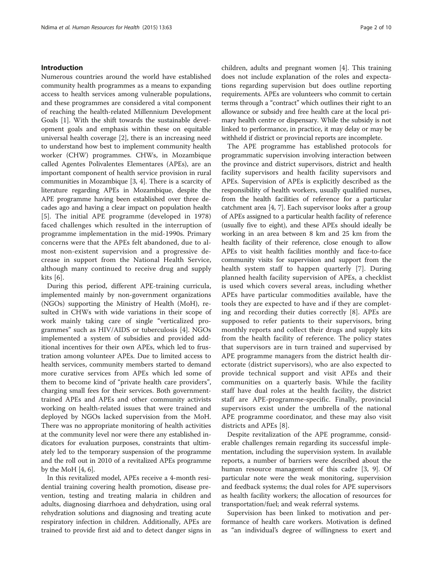#### Introduction

Numerous countries around the world have established community health programmes as a means to expanding access to health services among vulnerable populations, and these programmes are considered a vital component of reaching the health-related Millennium Development Goals [[1\]](#page-8-0). With the shift towards the sustainable development goals and emphasis within these on equitable universal health coverage [[2\]](#page-8-0), there is an increasing need to understand how best to implement community health worker (CHW) programmes. CHWs, in Mozambique called Agentes Polivalentes Elementares (APEs), are an important component of health service provision in rural communities in Mozambique [\[3, 4](#page-8-0)]. There is a scarcity of literature regarding APEs in Mozambique, despite the APE programme having been established over three decades ago and having a clear impact on population health [[5\]](#page-8-0). The initial APE programme (developed in 1978) faced challenges which resulted in the interruption of programme implementation in the mid-1990s. Primary concerns were that the APEs felt abandoned, due to almost non-existent supervision and a progressive decrease in support from the National Health Service, although many continued to receive drug and supply kits [[6\]](#page-9-0).

During this period, different APE-training curricula, implemented mainly by non-government organizations (NGOs) supporting the Ministry of Health (MoH), resulted in CHWs with wide variations in their scope of work mainly taking care of single "verticalized programmes" such as HIV/AIDS or tuberculosis [[4\]](#page-8-0). NGOs implemented a system of subsidies and provided additional incentives for their own APEs, which led to frustration among volunteer APEs. Due to limited access to health services, community members started to demand more curative services from APEs which led some of them to become kind of "private health care providers", charging small fees for their services. Both governmenttrained APEs and APEs and other community activists working on health-related issues that were trained and deployed by NGOs lacked supervision from the MoH. There was no appropriate monitoring of health activities at the community level nor were there any established indicators for evaluation purposes, constraints that ultimately led to the temporary suspension of the programme and the roll out in 2010 of a revitalized APEs programme by the MoH [\[4,](#page-8-0) [6](#page-9-0)].

In this revitalized model, APEs receive a 4-month residential training covering health promotion, disease prevention, testing and treating malaria in children and adults, diagnosing diarrhoea and dehydration, using oral rehydration solutions and diagnosing and treating acute respiratory infection in children. Additionally, APEs are trained to provide first aid and to detect danger signs in

children, adults and pregnant women [\[4\]](#page-8-0). This training does not include explanation of the roles and expectations regarding supervision but does outline reporting requirements. APEs are volunteers who commit to certain terms through a "contract" which outlines their right to an allowance or subsidy and free health care at the local primary health centre or dispensary. While the subsidy is not linked to performance, in practice, it may delay or may be withheld if district or provincial reports are incomplete.

The APE programme has established protocols for programmatic supervision involving interaction between the province and district supervisors, district and health facility supervisors and health facility supervisors and APEs. Supervision of APEs is explicitly described as the responsibility of health workers, usually qualified nurses, from the health facilities of reference for a particular catchment area [\[4](#page-8-0), [7](#page-9-0)]. Each supervisor looks after a group of APEs assigned to a particular health facility of reference (usually five to eight), and these APEs should ideally be working in an area between 8 km and 25 km from the health facility of their reference, close enough to allow APEs to visit health facilities monthly and face-to-face community visits for supervision and support from the health system staff to happen quarterly [[7\]](#page-9-0). During planned health facility supervision of APEs, a checklist is used which covers several areas, including whether APEs have particular commodities available, have the tools they are expected to have and if they are completing and recording their duties correctly [\[8](#page-9-0)]. APEs are supposed to refer patients to their supervisors, bring monthly reports and collect their drugs and supply kits from the health facility of reference. The policy states that supervisors are in turn trained and supervised by APE programme managers from the district health directorate (district supervisors), who are also expected to provide technical support and visit APEs and their communities on a quarterly basis. While the facility staff have dual roles at the health facility, the district staff are APE-programme-specific. Finally, provincial supervisors exist under the umbrella of the national APE programme coordinator, and these may also visit districts and APEs [[8\]](#page-9-0).

Despite revitalization of the APE programme, considerable challenges remain regarding its successful implementation, including the supervision system. In available reports, a number of barriers were described about the human resource management of this cadre [\[3](#page-8-0), [9](#page-9-0)]. Of particular note were the weak monitoring, supervision and feedback systems; the dual roles for APE supervisors as health facility workers; the allocation of resources for transportation/fuel; and weak referral systems.

Supervision has been linked to motivation and performance of health care workers. Motivation is defined as "an individual's degree of willingness to exert and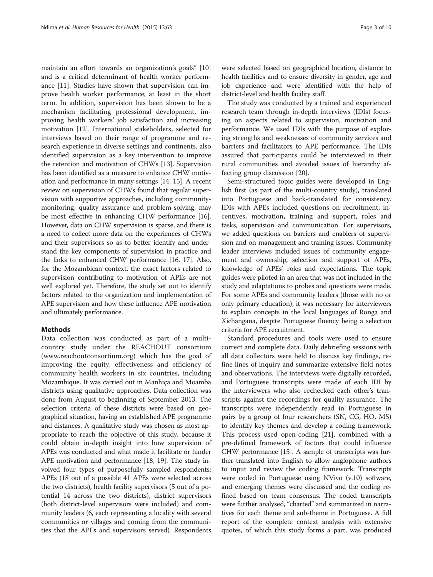<span id="page-2-0"></span>maintain an effort towards an organization's goals" [[10](#page-9-0)] and is a critical determinant of health worker performance [\[11](#page-9-0)]. Studies have shown that supervision can improve health worker performance, at least in the short term. In addition, supervision has been shown to be a mechanism facilitating professional development, improving health workers' job satisfaction and increasing motivation [\[12](#page-9-0)]. International stakeholders, selected for interviews based on their range of programme and research experience in diverse settings and continents, also identified supervision as a key intervention to improve the retention and motivation of CHWs [\[13](#page-9-0)]. Supervision has been identified as a measure to enhance CHW motivation and performance in many settings [\[14, 15\]](#page-9-0). A recent review on supervision of CHWs found that regular supervision with supportive approaches, including communitymonitoring, quality assurance and problem-solving, may be most effective in enhancing CHW performance [[16](#page-9-0)]. However, data on CHW supervision is sparse, and there is a need to collect more data on the experiences of CHWs and their supervisors so as to better identify and understand the key components of supervision in practice and the links to enhanced CHW performance [\[16, 17](#page-9-0)]. Also, for the Mozambican context, the exact factors related to supervision contributing to motivation of APEs are not well explored yet. Therefore, the study set out to identify factors related to the organization and implementation of APE supervision and how these influence APE motivation and ultimately performance.

### **Methods**

Data collection was conducted as part of a multicountry study under the REACHOUT consortium ([www.reachoutconsortium.org](http://www.reachoutconsortium.org)) which has the goal of improving the equity, effectiveness and efficiency of community health workers in six countries, including Mozambique. It was carried out in Manhiça and Moamba districts using qualitative approaches. Data collection was done from August to beginning of September 2013. The selection criteria of these districts were based on geographical situation, having an established APE programme and distances. A qualitative study was chosen as most appropriate to reach the objective of this study, because it could obtain in-depth insight into how supervision of APEs was conducted and what made it facilitate or hinder APE motivation and performance [[18](#page-9-0), [19\]](#page-9-0). The study involved four types of purposefully sampled respondents: APEs (18 out of a possible 41 APEs were selected across the two districts), health facility supervisors (5 out of a potential 14 across the two districts), district supervisors (both district-level supervisors were included) and community leaders (6, each representing a locality with several communities or villages and coming from the communities that the APEs and supervisors served). Respondents

were selected based on geographical location, distance to health facilities and to ensure diversity in gender, age and job experience and were identified with the help of district-level and health facility staff.

The study was conducted by a trained and experienced research team through in-depth interviews (IDIs) focusing on aspects related to supervision, motivation and performance. We used IDIs with the purpose of exploring strengths and weaknesses of community services and barriers and facilitators to APE performance. The IDIs assured that participants could be interviewed in their rural communities and avoided issues of hierarchy affecting group discussion [\[20](#page-9-0)].

Semi-structured topic guides were developed in English first (as part of the multi-country study), translated into Portuguese and back-translated for consistency. IDIs with APEs included questions on recruitment, incentives, motivation, training and support, roles and tasks, supervision and communication. For supervisors, we added questions on barriers and enablers of supervision and on management and training issues. Community leader interviews included issues of community engagement and ownership, selection and support of APEs, knowledge of APEs' roles and expectations. The topic guides were piloted in an area that was not included in the study and adaptations to probes and questions were made. For some APEs and community leaders (those with no or only primary education), it was necessary for interviewers to explain concepts in the local languages of Ronga and Xichangana, despite Portuguese fluency being a selection criteria for APE recruitment.

Standard procedures and tools were used to ensure correct and complete data. Daily debriefing sessions with all data collectors were held to discuss key findings, refine lines of inquiry and summarize extensive field notes and observations. The interviews were digitally recorded, and Portuguese transcripts were made of each IDI by the interviewers who also rechecked each other's transcripts against the recordings for quality assurance. The transcripts were independently read in Portuguese in pairs by a group of four researchers (SN, CG, HO, MS) to identify key themes and develop a coding framework. This process used open-coding [[21\]](#page-9-0), combined with a pre-defined framework of factors that could influence CHW performance [\[15\]](#page-9-0). A sample of transcripts was further translated into English to allow anglophone authors to input and review the coding framework. Transcripts were coded in Portuguese using NVivo (v.10) software, and emerging themes were discussed and the coding refined based on team consensus. The coded transcripts were further analysed, "charted" and summarized in narratives for each theme and sub-theme in Portuguese. A full report of the complete context analysis with extensive quotes, of which this study forms a part, was produced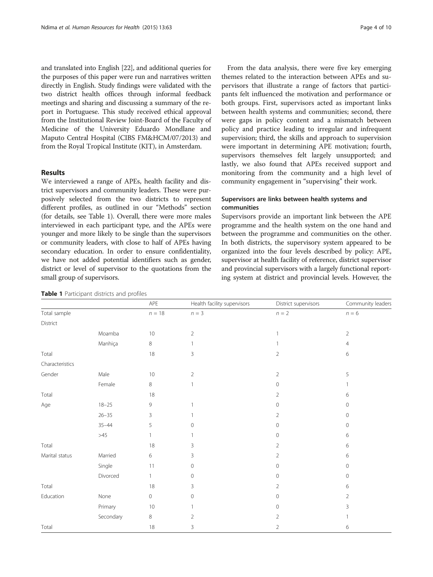and translated into English [\[22\]](#page-9-0), and additional queries for the purposes of this paper were run and narratives written directly in English. Study findings were validated with the two district health offices through informal feedback meetings and sharing and discussing a summary of the report in Portuguese. This study received ethical approval from the Institutional Review Joint-Board of the Faculty of Medicine of the University Eduardo Mondlane and Maputo Central Hospital (CIBS FM&HCM/07/2013) and from the Royal Tropical Institute (KIT), in Amsterdam.

#### Results

We interviewed a range of APEs, health facility and district supervisors and community leaders. These were purposively selected from the two districts to represent different profiles, as outlined in our "[Methods](#page-2-0)" section (for details, see Table 1). Overall, there were more males interviewed in each participant type, and the APEs were younger and more likely to be single than the supervisors or community leaders, with close to half of APEs having secondary education. In order to ensure confidentiality, we have not added potential identifiers such as gender, district or level of supervisor to the quotations from the small group of supervisors.

From the data analysis, there were five key emerging themes related to the interaction between APEs and supervisors that illustrate a range of factors that participants felt influenced the motivation and performance or both groups. First, supervisors acted as important links between health systems and communities; second, there were gaps in policy content and a mismatch between policy and practice leading to irregular and infrequent supervision; third, the skills and approach to supervision were important in determining APE motivation; fourth, supervisors themselves felt largely unsupported; and lastly, we also found that APEs received support and monitoring from the community and a high level of community engagement in "supervising" their work.

# Supervisors are links between health systems and communities

Supervisors provide an important link between the APE programme and the health system on the one hand and between the programme and communities on the other. In both districts, the supervisory system appeared to be organized into the four levels described by policy: APE, supervisor at health facility of reference, district supervisor and provincial supervisors with a largely functional reporting system at district and provincial levels. However, the

|                 |           | APE          | Health facility supervisors | District supervisors | Community leaders |
|-----------------|-----------|--------------|-----------------------------|----------------------|-------------------|
| Total sample    |           | $n = 18$     | $n = 3$                     | $n = 2$              | $n = 6$           |
| District        |           |              |                             |                      |                   |
|                 | Moamba    | $10$         | $\sqrt{2}$                  |                      | $\overline{2}$    |
|                 | Manhiça   | $\,8\,$      | 1                           |                      | 4                 |
| Total           |           | 18           | 3                           | $\overline{2}$       | 6                 |
| Characteristics |           |              |                             |                      |                   |
| Gender          | Male      | $10$         | $\overline{2}$              | $\overline{2}$       | 5                 |
|                 | Female    | 8            |                             | $\mathbf 0$          | 1                 |
| Total           |           | 18           |                             | $\overline{2}$       | 6                 |
| Age             | $18 - 25$ | 9            | 1                           | $\mathbf 0$          | $\mathbb O$       |
|                 | $26 - 35$ | 3            |                             | $\overline{2}$       | $\mathbf 0$       |
|                 | $35 - 44$ | 5            | $\mathbf 0$                 | $\mathbf 0$          | $\mathbf 0$       |
|                 | $>45$     | $\mathbf{1}$ | $\mathbf{1}$                | $\mathbf 0$          | 6                 |
| Total           |           | 18           | $\mathsf 3$                 | $\overline{2}$       | 6                 |
| Marital status  | Married   | 6            | 3                           | $\overline{2}$       | 6                 |
|                 | Single    | 11           | $\mathbb O$                 | $\mathbf 0$          | $\mathbf 0$       |
|                 | Divorced  | $\mathbf{1}$ | $\mathbf 0$                 | $\mathbf 0$          | $\mathbf 0$       |
| Total           |           | 18           | 3                           | $\overline{2}$       | 6                 |
| Education       | None      | $\circ$      | $\mathbf 0$                 | $\mathbf 0$          | $\overline{2}$    |
|                 | Primary   | 10           | 1                           | $\mathbf 0$          | 3                 |
|                 | Secondary | $\,8\,$      | $\overline{2}$              | $\overline{2}$       | 1                 |
| Total           |           | $18\,$       | 3                           | $\overline{2}$       | 6                 |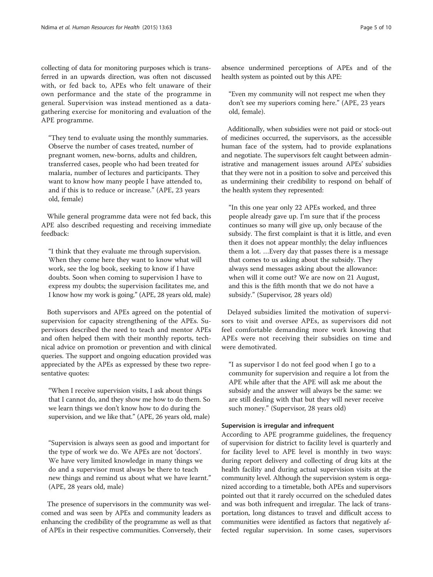collecting of data for monitoring purposes which is transferred in an upwards direction, was often not discussed with, or fed back to, APEs who felt unaware of their own performance and the state of the programme in general. Supervision was instead mentioned as a datagathering exercise for monitoring and evaluation of the APE programme.

"They tend to evaluate using the monthly summaries. Observe the number of cases treated, number of pregnant women, new-borns, adults and children, transferred cases, people who had been treated for malaria, number of lectures and participants. They want to know how many people I have attended to, and if this is to reduce or increase." (APE, 23 years old, female)

While general programme data were not fed back, this APE also described requesting and receiving immediate feedback:

"I think that they evaluate me through supervision. When they come here they want to know what will work, see the log book, seeking to know if I have doubts. Soon when coming to supervision I have to express my doubts; the supervision facilitates me, and I know how my work is going." (APE, 28 years old, male)

Both supervisors and APEs agreed on the potential of supervision for capacity strengthening of the APEs. Supervisors described the need to teach and mentor APEs and often helped them with their monthly reports, technical advice on promotion or prevention and with clinical queries. The support and ongoing education provided was appreciated by the APEs as expressed by these two representative quotes:

"When I receive supervision visits, I ask about things that I cannot do, and they show me how to do them. So we learn things we don't know how to do during the supervision, and we like that." (APE, 26 years old, male)

"Supervision is always seen as good and important for the type of work we do. We APEs are not 'doctors'. We have very limited knowledge in many things we do and a supervisor must always be there to teach new things and remind us about what we have learnt." (APE, 28 years old, male)

The presence of supervisors in the community was welcomed and was seen by APEs and community leaders as enhancing the credibility of the programme as well as that of APEs in their respective communities. Conversely, their

absence undermined perceptions of APEs and of the health system as pointed out by this APE:

"Even my community will not respect me when they don't see my superiors coming here." (APE, 23 years old, female).

Additionally, when subsidies were not paid or stock-out of medicines occurred, the supervisors, as the accessible human face of the system, had to provide explanations and negotiate. The supervisors felt caught between administrative and management issues around APEs' subsidies that they were not in a position to solve and perceived this as undermining their credibility to respond on behalf of the health system they represented:

"In this one year only 22 APEs worked, and three people already gave up. I'm sure that if the process continues so many will give up, only because of the subsidy. The first complaint is that it is little, and even then it does not appear monthly; the delay influences them a lot. …Every day that passes there is a message that comes to us asking about the subsidy. They always send messages asking about the allowance: when will it come out? We are now on 21 August, and this is the fifth month that we do not have a subsidy." (Supervisor, 28 years old)

Delayed subsidies limited the motivation of supervisors to visit and oversee APEs, as supervisors did not feel comfortable demanding more work knowing that APEs were not receiving their subsidies on time and were demotivated.

"I as supervisor I do not feel good when I go to a community for supervision and require a lot from the APE while after that the APE will ask me about the subsidy and the answer will always be the same: we are still dealing with that but they will never receive such money." (Supervisor, 28 years old)

#### Supervision is irregular and infrequent

According to APE programme guidelines, the frequency of supervision for district to facility level is quarterly and for facility level to APE level is monthly in two ways: during report delivery and collecting of drug kits at the health facility and during actual supervision visits at the community level. Although the supervision system is organized according to a timetable, both APEs and supervisors pointed out that it rarely occurred on the scheduled dates and was both infrequent and irregular. The lack of transportation, long distances to travel and difficult access to communities were identified as factors that negatively affected regular supervision. In some cases, supervisors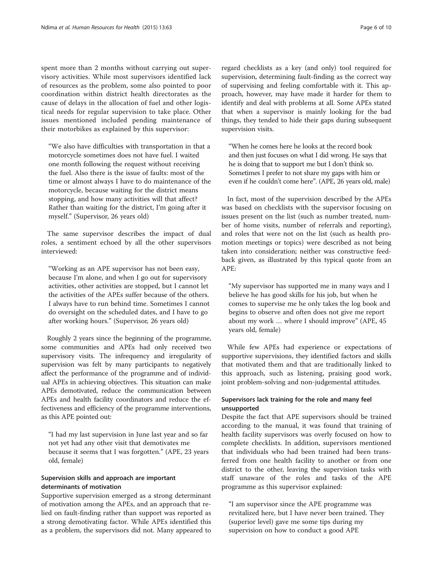spent more than 2 months without carrying out supervisory activities. While most supervisors identified lack of resources as the problem, some also pointed to poor coordination within district health directorates as the cause of delays in the allocation of fuel and other logistical needs for regular supervision to take place. Other issues mentioned included pending maintenance of their motorbikes as explained by this supervisor:

"We also have difficulties with transportation in that a motorcycle sometimes does not have fuel. I waited one month following the request without receiving the fuel. Also there is the issue of faults: most of the time or almost always I have to do maintenance of the motorcycle, because waiting for the district means stopping, and how many activities will that affect? Rather than waiting for the district, I'm going after it myself." (Supervisor, 26 years old)

The same supervisor describes the impact of dual roles, a sentiment echoed by all the other supervisors interviewed:

"Working as an APE supervisor has not been easy, because I'm alone, and when I go out for supervisory activities, other activities are stopped, but I cannot let the activities of the APEs suffer because of the others. I always have to run behind time. Sometimes I cannot do oversight on the scheduled dates, and I have to go after working hours." (Supervisor, 26 years old)

Roughly 2 years since the beginning of the programme, some communities and APEs had only received two supervisory visits. The infrequency and irregularity of supervision was felt by many participants to negatively affect the performance of the programme and of individual APEs in achieving objectives. This situation can make APEs demotivated, reduce the communication between APEs and health facility coordinators and reduce the effectiveness and efficiency of the programme interventions, as this APE pointed out:

"I had my last supervision in June last year and so far not yet had any other visit that demotivates me because it seems that I was forgotten." (APE, 23 years old, female)

# Supervision skills and approach are important determinants of motivation

Supportive supervision emerged as a strong determinant of motivation among the APEs, and an approach that relied on fault-finding rather than support was reported as a strong demotivating factor. While APEs identified this as a problem, the supervisors did not. Many appeared to regard checklists as a key (and only) tool required for supervision, determining fault-finding as the correct way of supervising and feeling comfortable with it. This approach, however, may have made it harder for them to identify and deal with problems at all. Some APEs stated that when a supervisor is mainly looking for the bad things, they tended to hide their gaps during subsequent supervision visits.

"When he comes here he looks at the record book and then just focuses on what I did wrong. He says that he is doing that to support me but I don't think so. Sometimes I prefer to not share my gaps with him or even if he couldn't come here". (APE, 26 years old, male)

In fact, most of the supervision described by the APEs was based on checklists with the supervisor focusing on issues present on the list (such as number treated, number of home visits, number of referrals and reporting), and roles that were not on the list (such as health promotion meetings or topics) were described as not being taken into consideration; neither was constructive feedback given, as illustrated by this typical quote from an APE:

"My supervisor has supported me in many ways and I believe he has good skills for his job, but when he comes to supervise me he only takes the log book and begins to observe and often does not give me report about my work … where I should improve" (APE, 45 years old, female)

While few APEs had experience or expectations of supportive supervisions, they identified factors and skills that motivated them and that are traditionally linked to this approach, such as listening, praising good work, joint problem-solving and non-judgemental attitudes.

# Supervisors lack training for the role and many feel unsupported

Despite the fact that APE supervisors should be trained according to the manual, it was found that training of health facility supervisors was overly focused on how to complete checklists. In addition, supervisors mentioned that individuals who had been trained had been transferred from one health facility to another or from one district to the other, leaving the supervision tasks with staff unaware of the roles and tasks of the APE programme as this supervisor explained:

"I am supervisor since the APE programme was revitalized here, but I have never been trained. They (superior level) gave me some tips during my supervision on how to conduct a good APE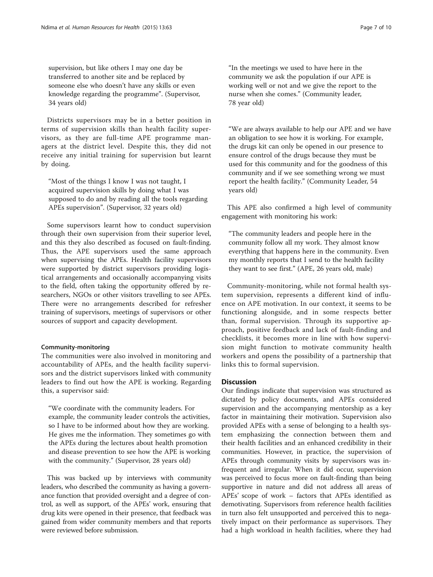supervision, but like others I may one day be transferred to another site and be replaced by someone else who doesn't have any skills or even knowledge regarding the programme". (Supervisor, 34 years old)

Districts supervisors may be in a better position in terms of supervision skills than health facility supervisors, as they are full-time APE programme managers at the district level. Despite this, they did not receive any initial training for supervision but learnt by doing.

"Most of the things I know I was not taught, I acquired supervision skills by doing what I was supposed to do and by reading all the tools regarding APEs supervision". (Supervisor, 32 years old)

Some supervisors learnt how to conduct supervision through their own supervision from their superior level, and this they also described as focused on fault-finding. Thus, the APE supervisors used the same approach when supervising the APEs. Health facility supervisors were supported by district supervisors providing logistical arrangements and occasionally accompanying visits to the field, often taking the opportunity offered by researchers, NGOs or other visitors travelling to see APEs. There were no arrangements described for refresher training of supervisors, meetings of supervisors or other sources of support and capacity development.

### Community-monitoring

The communities were also involved in monitoring and accountability of APEs, and the health facility supervisors and the district supervisors linked with community leaders to find out how the APE is working. Regarding this, a supervisor said:

"We coordinate with the community leaders. For example, the community leader controls the activities, so I have to be informed about how they are working. He gives me the information. They sometimes go with the APEs during the lectures about health promotion and disease prevention to see how the APE is working with the community." (Supervisor, 28 years old)

This was backed up by interviews with community leaders, who described the community as having a governance function that provided oversight and a degree of control, as well as support, of the APEs' work, ensuring that drug kits were opened in their presence, that feedback was gained from wider community members and that reports were reviewed before submission.

"In the meetings we used to have here in the community we ask the population if our APE is working well or not and we give the report to the nurse when she comes." (Community leader, 78 year old)

"We are always available to help our APE and we have an obligation to see how it is working. For example, the drugs kit can only be opened in our presence to ensure control of the drugs because they must be used for this community and for the goodness of this community and if we see something wrong we must report the health facility." (Community Leader, 54 years old)

This APE also confirmed a high level of community engagement with monitoring his work:

"The community leaders and people here in the community follow all my work. They almost know everything that happens here in the community. Even my monthly reports that I send to the health facility they want to see first." (APE, 26 years old, male)

Community-monitoring, while not formal health system supervision, represents a different kind of influence on APE motivation. In our context, it seems to be functioning alongside, and in some respects better than, formal supervision. Through its supportive approach, positive feedback and lack of fault-finding and checklists, it becomes more in line with how supervision might function to motivate community health workers and opens the possibility of a partnership that links this to formal supervision.

#### Discussion

Our findings indicate that supervision was structured as dictated by policy documents, and APEs considered supervision and the accompanying mentorship as a key factor in maintaining their motivation. Supervision also provided APEs with a sense of belonging to a health system emphasizing the connection between them and their health facilities and an enhanced credibility in their communities. However, in practice, the supervision of APEs through community visits by supervisors was infrequent and irregular. When it did occur, supervision was perceived to focus more on fault-finding than being supportive in nature and did not address all areas of APEs' scope of work – factors that APEs identified as demotivating. Supervisors from reference health facilities in turn also felt unsupported and perceived this to negatively impact on their performance as supervisors. They had a high workload in health facilities, where they had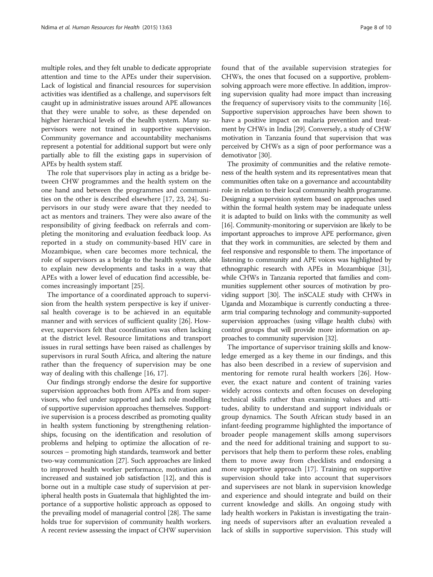multiple roles, and they felt unable to dedicate appropriate attention and time to the APEs under their supervision. Lack of logistical and financial resources for supervision activities was identified as a challenge, and supervisors felt caught up in administrative issues around APE allowances that they were unable to solve, as these depended on higher hierarchical levels of the health system. Many supervisors were not trained in supportive supervision. Community governance and accountability mechanisms represent a potential for additional support but were only partially able to fill the existing gaps in supervision of APEs by health system staff.

The role that supervisors play in acting as a bridge between CHW programmes and the health system on the one hand and between the programmes and communities on the other is described elsewhere [\[17](#page-9-0), [23, 24\]](#page-9-0). Supervisors in our study were aware that they needed to act as mentors and trainers. They were also aware of the responsibility of giving feedback on referrals and completing the monitoring and evaluation feedback loop. As reported in a study on community-based HIV care in Mozambique, when care becomes more technical, the role of supervisors as a bridge to the health system, able to explain new developments and tasks in a way that APEs with a lower level of education find accessible, becomes increasingly important [[25\]](#page-9-0).

The importance of a coordinated approach to supervision from the health system perspective is key if universal health coverage is to be achieved in an equitable manner and with services of sufficient quality [\[26](#page-9-0)]. However, supervisors felt that coordination was often lacking at the district level. Resource limitations and transport issues in rural settings have been raised as challenges by supervisors in rural South Africa, and altering the nature rather than the frequency of supervision may be one way of dealing with this challenge [\[16](#page-9-0), [17\]](#page-9-0).

Our findings strongly endorse the desire for supportive supervision approaches both from APEs and from supervisors, who feel under supported and lack role modelling of supportive supervision approaches themselves. Supportive supervision is a process described as promoting quality in health system functioning by strengthening relationships, focusing on the identification and resolution of problems and helping to optimize the allocation of resources – promoting high standards, teamwork and better two-way communication [\[27](#page-9-0)]. Such approaches are linked to improved health worker performance, motivation and increased and sustained job satisfaction [\[12](#page-9-0)], and this is borne out in a multiple case study of supervision at peripheral health posts in Guatemala that highlighted the importance of a supportive holistic approach as opposed to the prevailing model of managerial control [[28](#page-9-0)]. The same holds true for supervision of community health workers. A recent review assessing the impact of CHW supervision

found that of the available supervision strategies for CHWs, the ones that focused on a supportive, problemsolving approach were more effective. In addition, improving supervision quality had more impact than increasing the frequency of supervisory visits to the community [[16](#page-9-0)]. Supportive supervision approaches have been shown to have a positive impact on malaria prevention and treatment by CHWs in India [[29\]](#page-9-0). Conversely, a study of CHW motivation in Tanzania found that supervision that was perceived by CHWs as a sign of poor performance was a demotivator [[30](#page-9-0)].

The proximity of communities and the relative remoteness of the health system and its representatives mean that communities often take on a governance and accountability role in relation to their local community health programme. Designing a supervision system based on approaches used within the formal health system may be inadequate unless it is adapted to build on links with the community as well [[16](#page-9-0)]. Community-monitoring or supervision are likely to be important approaches to improve APE performance, given that they work in communities, are selected by them and feel responsive and responsible to them. The importance of listening to community and APE voices was highlighted by ethnographic research with APEs in Mozambique [\[31](#page-9-0)], while CHWs in Tanzania reported that families and communities supplement other sources of motivation by providing support [\[30](#page-9-0)]. The inSCALE study with CHWs in Uganda and Mozambique is currently conducting a threearm trial comparing technology and community-supported supervision approaches (using village health clubs) with control groups that will provide more information on approaches to community supervision [[32\]](#page-9-0).

The importance of supervisor training skills and knowledge emerged as a key theme in our findings, and this has also been described in a review of supervision and mentoring for remote rural health workers [[26\]](#page-9-0). However, the exact nature and content of training varies widely across contexts and often focuses on developing technical skills rather than examining values and attitudes, ability to understand and support individuals or group dynamics. The South African study based in an infant-feeding programme highlighted the importance of broader people management skills among supervisors and the need for additional training and support to supervisors that help them to perform these roles, enabling them to move away from checklists and endorsing a more supportive approach [\[17](#page-9-0)]. Training on supportive supervision should take into account that supervisors and supervisees are not blank in supervision knowledge and experience and should integrate and build on their current knowledge and skills. An ongoing study with lady health workers in Pakistan is investigating the training needs of supervisors after an evaluation revealed a lack of skills in supportive supervision. This study will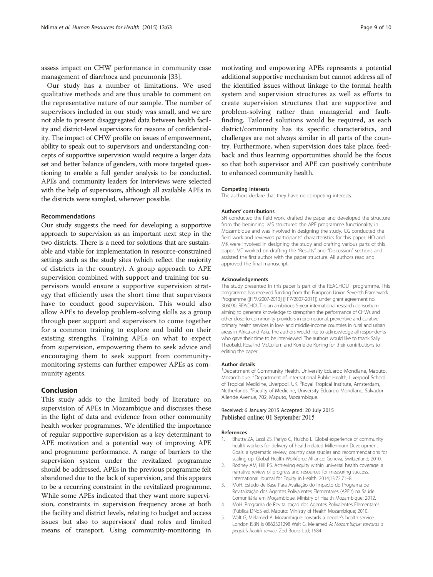<span id="page-8-0"></span>assess impact on CHW performance in community case management of diarrhoea and pneumonia [[33\]](#page-9-0).

Our study has a number of limitations. We used qualitative methods and are thus unable to comment on the representative nature of our sample. The number of supervisors included in our study was small, and we are not able to present disaggregated data between health facility and district-level supervisors for reasons of confidentiality. The impact of CHW profile on issues of empowerment, ability to speak out to supervisors and understanding concepts of supportive supervision would require a larger data set and better balance of genders, with more targeted questioning to enable a full gender analysis to be conducted. APEs and community leaders for interviews were selected with the help of supervisors, although all available APEs in the districts were sampled, wherever possible.

#### Recommendations

Our study suggests the need for developing a supportive approach to supervision as an important next step in the two districts. There is a need for solutions that are sustainable and viable for implementation in resource-constrained settings such as the study sites (which reflect the majority of districts in the country). A group approach to APE supervision combined with support and training for supervisors would ensure a supportive supervision strategy that efficiently uses the short time that supervisors have to conduct good supervision. This would also allow APEs to develop problem-solving skills as a group through peer support and supervisors to come together for a common training to explore and build on their existing strengths. Training APEs on what to expect from supervision, empowering them to seek advice and encouraging them to seek support from communitymonitoring systems can further empower APEs as community agents.

## Conclusion

This study adds to the limited body of literature on supervision of APEs in Mozambique and discusses these in the light of data and evidence from other community health worker programmes. We identified the importance of regular supportive supervision as a key determinant to APE motivation and a potential way of improving APE and programme performance. A range of barriers to the supervision system under the revitalized programme should be addressed. APEs in the previous programme felt abandoned due to the lack of supervision, and this appears to be a recurring constraint in the revitalized programme. While some APEs indicated that they want more supervision, constraints in supervision frequency arose at both the facility and district levels, relating to budget and access issues but also to supervisors' dual roles and limited means of transport. Using community-monitoring in

motivating and empowering APEs represents a potential additional supportive mechanism but cannot address all of the identified issues without linkage to the formal health system and supervision structures as well as efforts to create supervision structures that are supportive and problem-solving rather than managerial and faultfinding. Tailored solutions would be required, as each district/community has its specific characteristics, and challenges are not always similar in all parts of the country. Furthermore, when supervision does take place, feedback and thus learning opportunities should be the focus so that both supervisor and APE can positively contribute to enhanced community health.

#### Competing interests

The authors declare that they have no competing interests.

#### Authors' contributions

SN conducted the field work, drafted the paper and developed the structure from the beginning. MS structured the APE programme functionality in Mozambique and was involved in designing the study. CG conducted the field work and reviewed participants' characteristics for this paper. HO and MK were involved in designing the study and drafting various parts of this paper. MT worked on drafting the "Results" and "Discussion" sections and assisted the first author with the paper structure. All authors read and approved the final manuscript.

#### Acknowledgements

The study presented in this paper is part of the REACHOUT programme. This programme has received funding from the European Union Seventh Framework Programme ([FP7/2007-2013] [FP7/2007-2011]) under grant agreement no. 306090. REACHOUT is an ambitious 5-year international research consortium aiming to generate knowledge to strengthen the performance of CHWs and other close-to-community providers in promotional, preventive and curative primary health services in low- and middle-income countries in rural and urban areas in Africa and Asia. The authors would like to acknowledge all respondents who gave their time to be interviewed. The authors would like to thank Sally Theobald, Rosalind McCollum and Korrie de Koning for their contributions to editing the paper.

#### Author details

<sup>1</sup>Department of Community Health, University Eduardo Mondlane, Maputo, Mozambique. <sup>2</sup>Department of International Public Health, Liverpool School of Tropical Medicine, Liverpool, UK. <sup>3</sup>Royal Tropical Institute, Amsterdam, Netherlands. <sup>4</sup>Faculty of Medicine, University Eduardo Mondlane, Salvador Allende Avenue, 702, Maputo, Mozambique.

#### Received: 6 January 2015 Accepted: 20 July 2015 Published online: 01 September 2015

#### References

- 1. Bhutta ZA, Lassi ZS, Pariyo G, Huicho L. Global experience of community health workers for delivery of health-related Millennium Development Goals: a systematic review, country case studies and recommendations for scaling up. Global Health Workforce Alliance: Geneva, Switzerland; 2010.
- 2. Rodney AM, Hill PS. Achieving equity within universal health coverage: a narrative review of progress and resources for measuring success. International Journal for Equity in Health. 2014;13:72.71–8.
- 3. MoH. Estudo de Base Para Avaliação do Impacto do Programa de Revitalização dos Agentes Polivalentes Elementares (APE's) na Saúde Comunitária em Moçambique. Ministry of Health Mozambique; 2012.
- 4. MoH. Programa de Revitalização dos Agentes Polivalentes Elementares. (Pública DNdS ed. Maputo: Ministry of Health Mozambique; 2010.
- 5. Walt G, Melamed A. Mozambique: towards a people's health service. London ISBN is 0862321298 Walt G, Melamed A: Mozambique: towards a people's health service. Zed Books Ltd; 1984